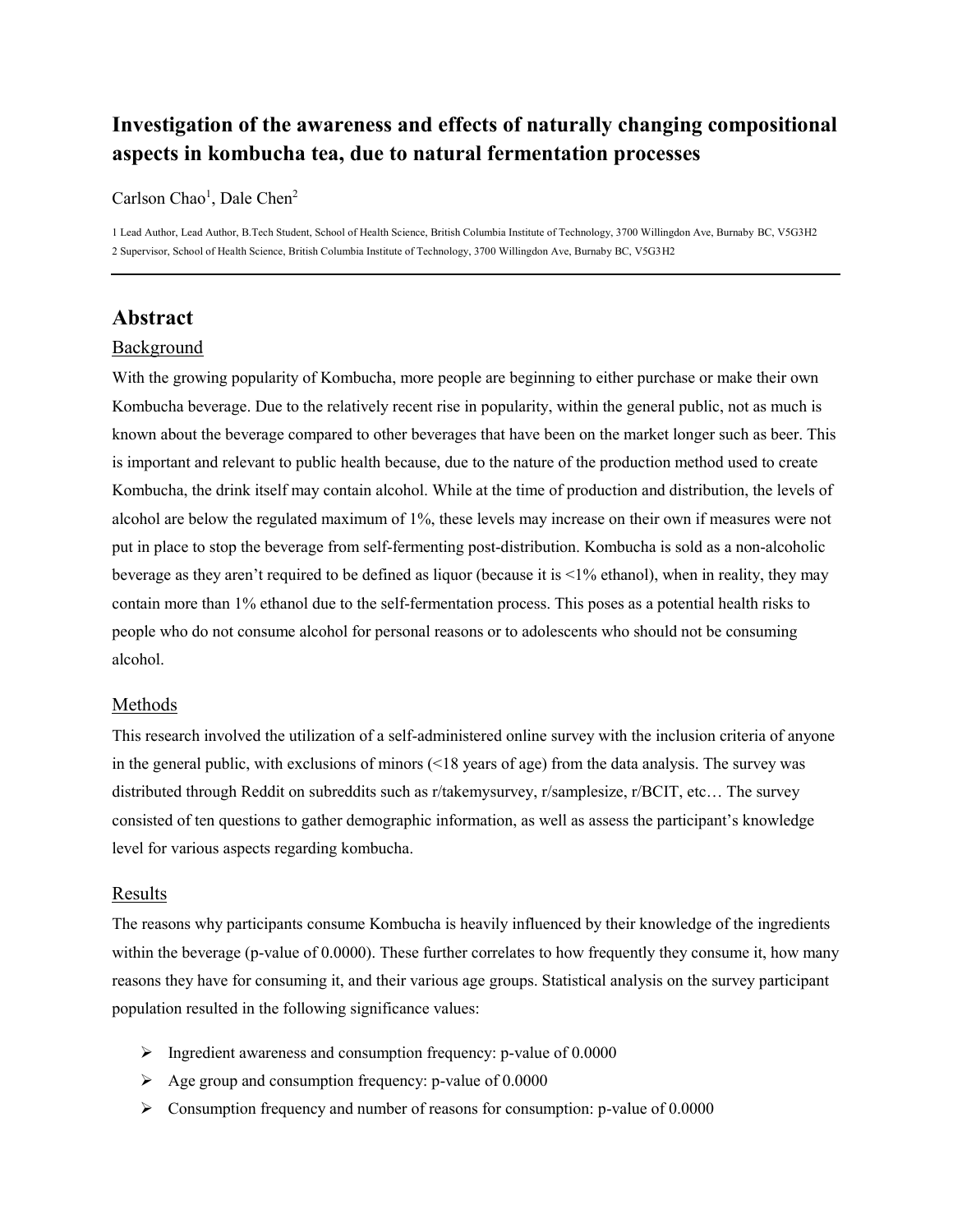# **Investigation of the awareness and effects of naturally changing compositional aspects in kombucha tea, due to natural fermentation processes**

Carlson Chao<sup>1</sup>, Dale Chen<sup>2</sup>

1 Lead Author, Lead Author, B.Tech Student, School of Health Science, British Columbia Institute of Technology, 3700 Willingdon Ave, Burnaby BC, V5G3H2 2 Supervisor, School of Health Science, British Columbia Institute of Technology, 3700 Willingdon Ave, Burnaby BC, V5G3H2

# **Abstract**

## Background

With the growing popularity of Kombucha, more people are beginning to either purchase or make their own Kombucha beverage. Due to the relatively recent rise in popularity, within the general public, not as much is known about the beverage compared to other beverages that have been on the market longer such as beer. This is important and relevant to public health because, due to the nature of the production method used to create Kombucha, the drink itself may contain alcohol. While at the time of production and distribution, the levels of alcohol are below the regulated maximum of 1%, these levels may increase on their own if measures were not put in place to stop the beverage from self-fermenting post-distribution. Kombucha is sold as a non-alcoholic beverage as they aren't required to be defined as liquor (because it is <1% ethanol), when in reality, they may contain more than 1% ethanol due to the self-fermentation process. This poses as a potential health risks to people who do not consume alcohol for personal reasons or to adolescents who should not be consuming alcohol.

#### Methods

This research involved the utilization of a self-administered online survey with the inclusion criteria of anyone in the general public, with exclusions of minors (<18 years of age) from the data analysis. The survey was distributed through Reddit on subreddits such as r/takemysurvey, r/samplesize, r/BCIT, etc… The survey consisted of ten questions to gather demographic information, as well as assess the participant's knowledge level for various aspects regarding kombucha.

#### Results

The reasons why participants consume Kombucha is heavily influenced by their knowledge of the ingredients within the beverage (p-value of 0.0000). These further correlates to how frequently they consume it, how many reasons they have for consuming it, and their various age groups. Statistical analysis on the survey participant population resulted in the following significance values:

- $\triangleright$  Ingredient awareness and consumption frequency: p-value of 0.0000
- $\triangleright$  Age group and consumption frequency: p-value of 0.0000
- $\triangleright$  Consumption frequency and number of reasons for consumption: p-value of 0.0000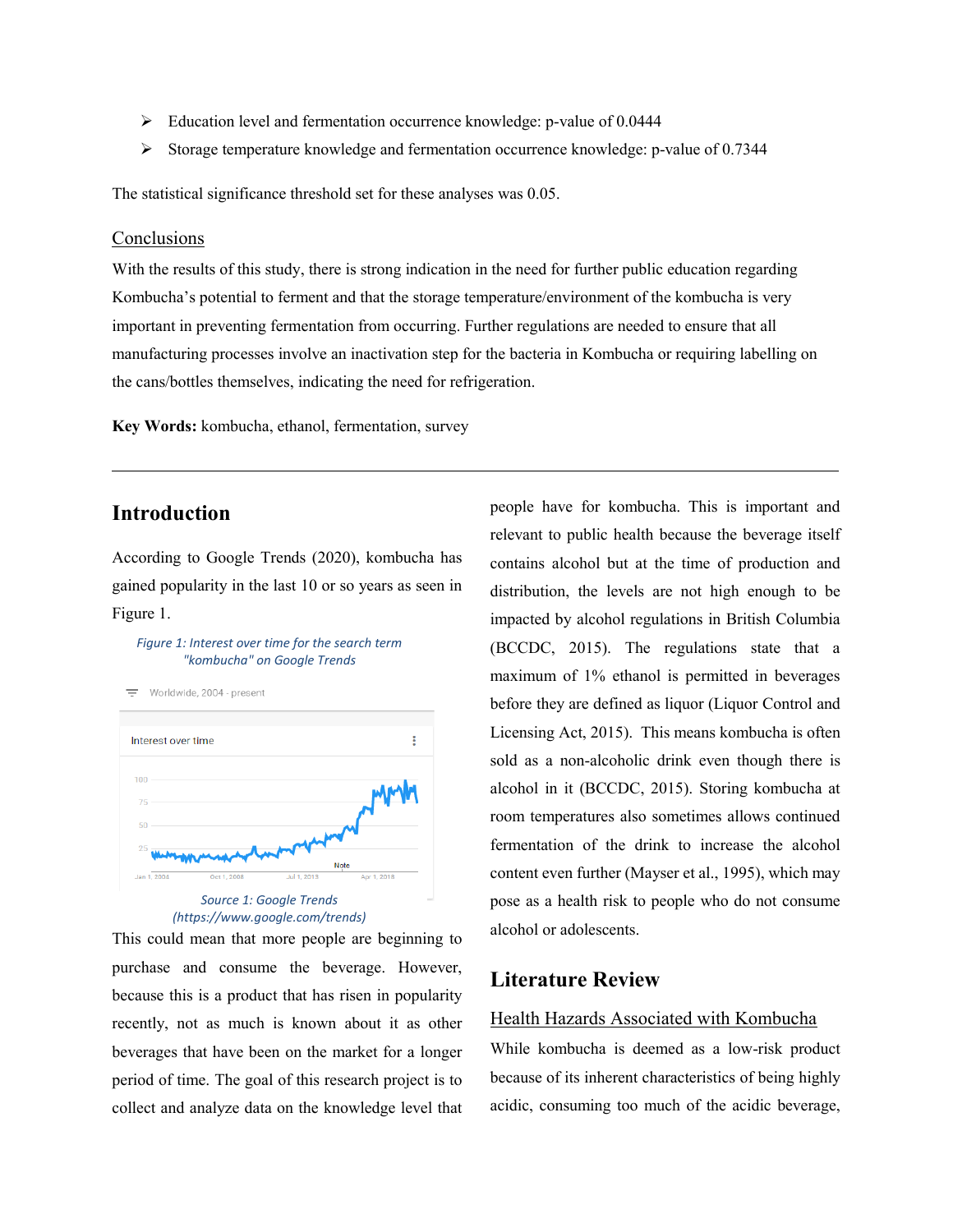- Education level and fermentation occurrence knowledge: p-value of 0.0444
- Storage temperature knowledge and fermentation occurrence knowledge: p-value of 0.7344

The statistical significance threshold set for these analyses was 0.05.

## **Conclusions**

With the results of this study, there is strong indication in the need for further public education regarding Kombucha's potential to ferment and that the storage temperature/environment of the kombucha is very important in preventing fermentation from occurring. Further regulations are needed to ensure that all manufacturing processes involve an inactivation step for the bacteria in Kombucha or requiring labelling on the cans/bottles themselves, indicating the need for refrigeration.

**Key Words:** kombucha, ethanol, fermentation, survey

# **Introduction**

According to Google Trends (2020), kombucha has gained popularity in the last 10 or so years as seen in Figure 1.

#### *Figure 1: Interest over time for the search term "kombucha" on Google Trends*

Worldwide 2004 - present



*(https://www.google.com/trends)*

This could mean that more people are beginning to purchase and consume the beverage. However, because this is a product that has risen in popularity recently, not as much is known about it as other beverages that have been on the market for a longer period of time. The goal of this research project is to collect and analyze data on the knowledge level that people have for kombucha. This is important and relevant to public health because the beverage itself contains alcohol but at the time of production and distribution, the levels are not high enough to be impacted by alcohol regulations in British Columbia (BCCDC, 2015). The regulations state that a maximum of 1% ethanol is permitted in beverages before they are defined as liquor (Liquor Control and Licensing Act, 2015). This means kombucha is often sold as a non-alcoholic drink even though there is alcohol in it (BCCDC, 2015). Storing kombucha at room temperatures also sometimes allows continued fermentation of the drink to increase the alcohol content even further (Mayser et al., 1995), which may pose as a health risk to people who do not consume alcohol or adolescents.

## **Literature Review**

#### Health Hazards Associated with Kombucha

While kombucha is deemed as a low-risk product because of its inherent characteristics of being highly acidic, consuming too much of the acidic beverage,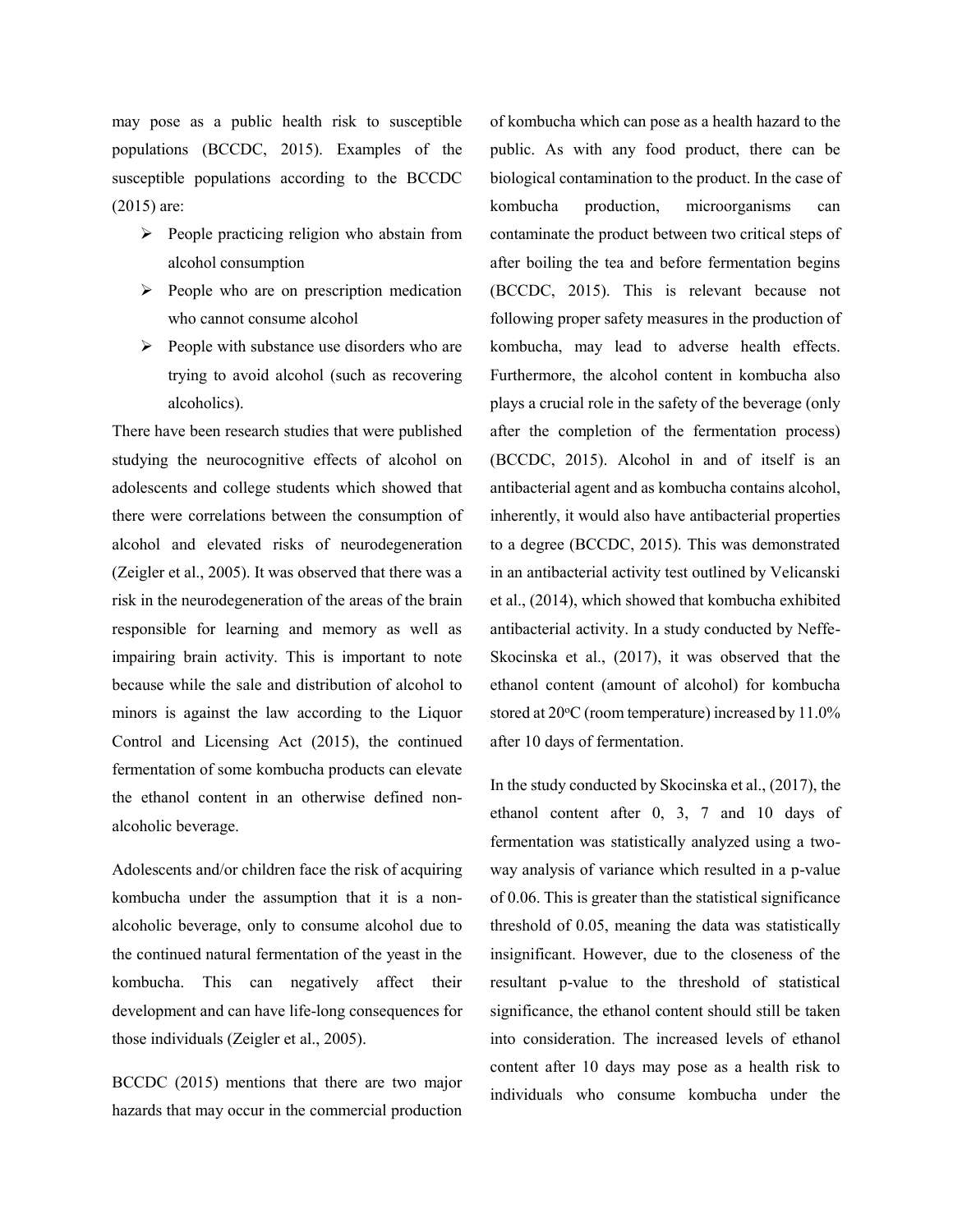may pose as a public health risk to susceptible populations (BCCDC, 2015). Examples of the susceptible populations according to the BCCDC (2015) are:

- $\triangleright$  People practicing religion who abstain from alcohol consumption
- $\triangleright$  People who are on prescription medication who cannot consume alcohol
- $\triangleright$  People with substance use disorders who are trying to avoid alcohol (such as recovering alcoholics).

There have been research studies that were published studying the neurocognitive effects of alcohol on adolescents and college students which showed that there were correlations between the consumption of alcohol and elevated risks of neurodegeneration (Zeigler et al., 2005). It was observed that there was a risk in the neurodegeneration of the areas of the brain responsible for learning and memory as well as impairing brain activity. This is important to note because while the sale and distribution of alcohol to minors is against the law according to the Liquor Control and Licensing Act (2015), the continued fermentation of some kombucha products can elevate the ethanol content in an otherwise defined nonalcoholic beverage.

Adolescents and/or children face the risk of acquiring kombucha under the assumption that it is a nonalcoholic beverage, only to consume alcohol due to the continued natural fermentation of the yeast in the kombucha. This can negatively affect their development and can have life-long consequences for those individuals (Zeigler et al., 2005).

BCCDC (2015) mentions that there are two major hazards that may occur in the commercial production

of kombucha which can pose as a health hazard to the public. As with any food product, there can be biological contamination to the product. In the case of kombucha production, microorganisms can contaminate the product between two critical steps of after boiling the tea and before fermentation begins (BCCDC, 2015). This is relevant because not following proper safety measures in the production of kombucha, may lead to adverse health effects. Furthermore, the alcohol content in kombucha also plays a crucial role in the safety of the beverage (only after the completion of the fermentation process) (BCCDC, 2015). Alcohol in and of itself is an antibacterial agent and as kombucha contains alcohol, inherently, it would also have antibacterial properties to a degree (BCCDC, 2015). This was demonstrated in an antibacterial activity test outlined by Velicanski et al., (2014), which showed that kombucha exhibited antibacterial activity. In a study conducted by Neffe-Skocinska et al., (2017), it was observed that the ethanol content (amount of alcohol) for kombucha stored at  $20^{\circ}$ C (room temperature) increased by  $11.0\%$ after 10 days of fermentation.

In the study conducted by Skocinska et al., (2017), the ethanol content after 0, 3, 7 and 10 days of fermentation was statistically analyzed using a twoway analysis of variance which resulted in a p-value of 0.06. This is greater than the statistical significance threshold of 0.05, meaning the data was statistically insignificant. However, due to the closeness of the resultant p-value to the threshold of statistical significance, the ethanol content should still be taken into consideration. The increased levels of ethanol content after 10 days may pose as a health risk to individuals who consume kombucha under the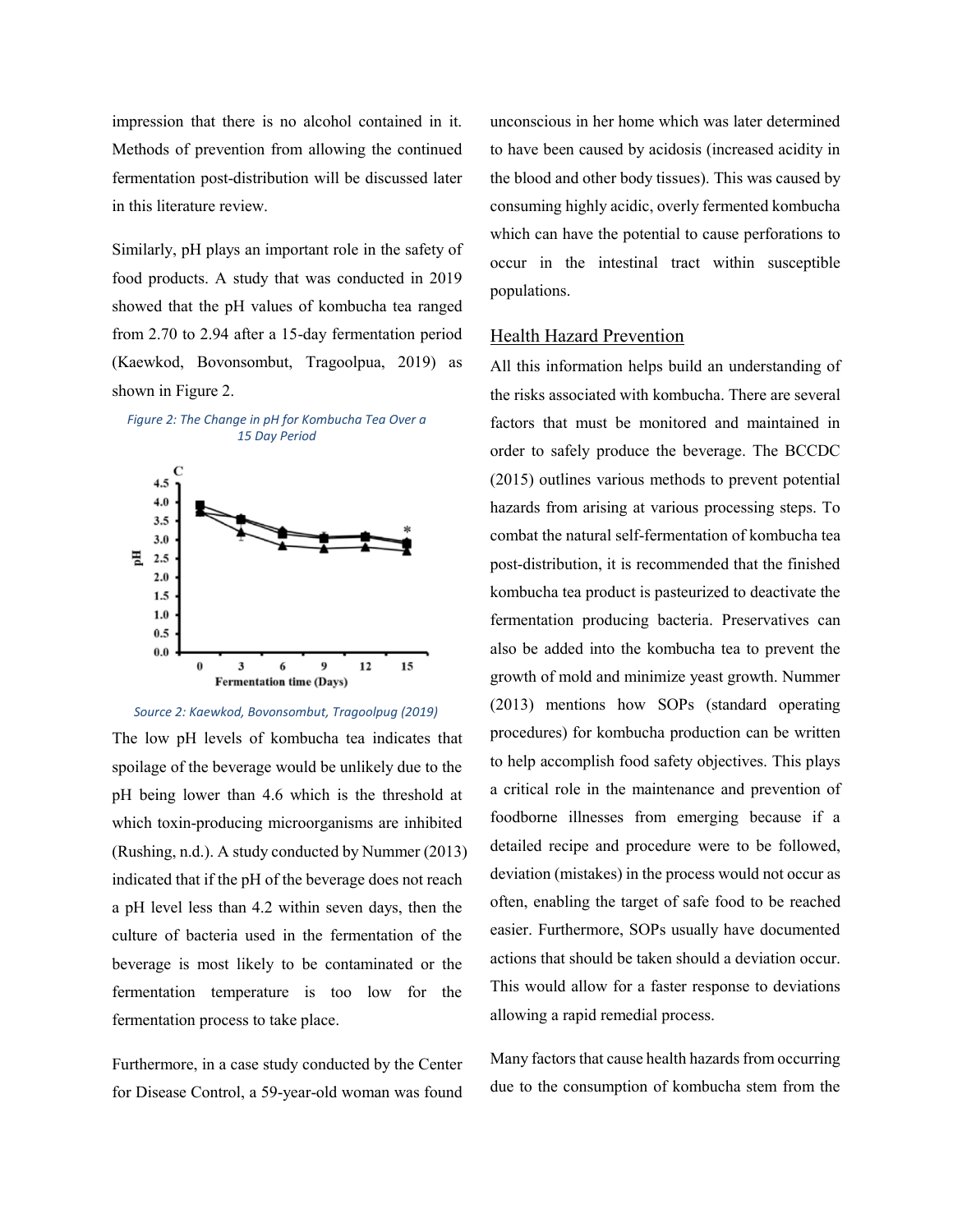impression that there is no alcohol contained in it. Methods of prevention from allowing the continued fermentation post-distribution will be discussed later in this literature review.

Similarly, pH plays an important role in the safety of food products. A study that was conducted in 2019 showed that the pH values of kombucha tea ranged from 2.70 to 2.94 after a 15-day fermentation period (Kaewkod, Bovonsombut, Tragoolpua, 2019) as shown in Figure 2.







The low pH levels of kombucha tea indicates that spoilage of the beverage would be unlikely due to the pH being lower than 4.6 which is the threshold at which toxin-producing microorganisms are inhibited (Rushing, n.d.). A study conducted by Nummer (2013) indicated that if the pH of the beverage does not reach a pH level less than 4.2 within seven days, then the culture of bacteria used in the fermentation of the beverage is most likely to be contaminated or the fermentation temperature is too low for the fermentation process to take place.

Furthermore, in a case study conducted by the Center for Disease Control, a 59-year-old woman was found

unconscious in her home which was later determined to have been caused by acidosis (increased acidity in the blood and other body tissues). This was caused by consuming highly acidic, overly fermented kombucha which can have the potential to cause perforations to occur in the intestinal tract within susceptible populations.

#### Health Hazard Prevention

All this information helps build an understanding of the risks associated with kombucha. There are several factors that must be monitored and maintained in order to safely produce the beverage. The BCCDC (2015) outlines various methods to prevent potential hazards from arising at various processing steps. To combat the natural self-fermentation of kombucha tea post-distribution, it is recommended that the finished kombucha tea product is pasteurized to deactivate the fermentation producing bacteria. Preservatives can also be added into the kombucha tea to prevent the growth of mold and minimize yeast growth. Nummer (2013) mentions how SOPs (standard operating procedures) for kombucha production can be written to help accomplish food safety objectives. This plays a critical role in the maintenance and prevention of foodborne illnesses from emerging because if a detailed recipe and procedure were to be followed, deviation (mistakes) in the process would not occur as often, enabling the target of safe food to be reached easier. Furthermore, SOPs usually have documented actions that should be taken should a deviation occur. This would allow for a faster response to deviations allowing a rapid remedial process.

Many factors that cause health hazards from occurring due to the consumption of kombucha stem from the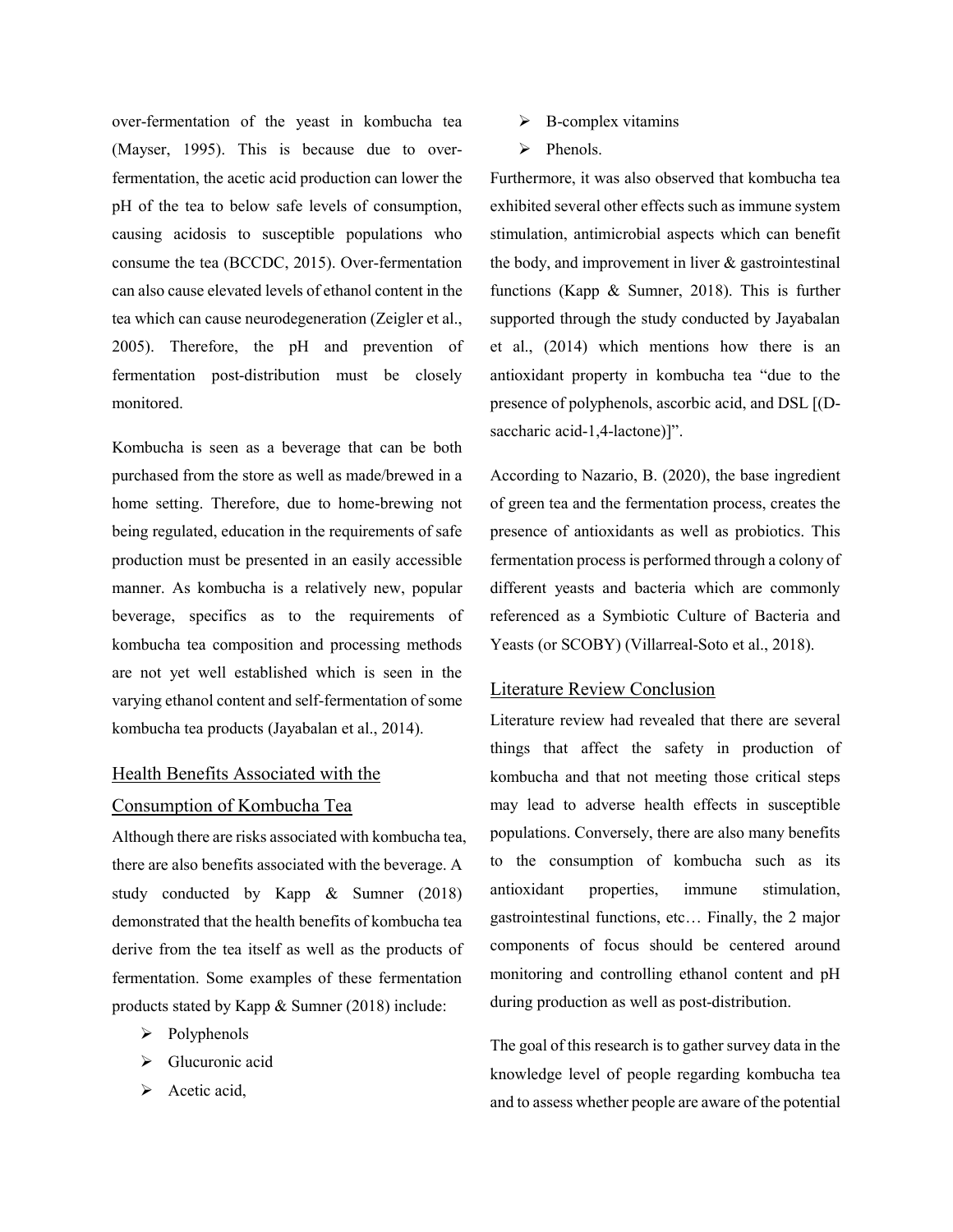over-fermentation of the yeast in kombucha tea (Mayser, 1995). This is because due to overfermentation, the acetic acid production can lower the pH of the tea to below safe levels of consumption, causing acidosis to susceptible populations who consume the tea (BCCDC, 2015). Over-fermentation can also cause elevated levels of ethanol content in the tea which can cause neurodegeneration (Zeigler et al., 2005). Therefore, the pH and prevention of fermentation post-distribution must be closely monitored.

Kombucha is seen as a beverage that can be both purchased from the store as well as made/brewed in a home setting. Therefore, due to home-brewing not being regulated, education in the requirements of safe production must be presented in an easily accessible manner. As kombucha is a relatively new, popular beverage, specifics as to the requirements of kombucha tea composition and processing methods are not yet well established which is seen in the varying ethanol content and self-fermentation of some kombucha tea products (Jayabalan et al., 2014).

## Health Benefits Associated with the

#### Consumption of Kombucha Tea

Although there are risks associated with kombucha tea, there are also benefits associated with the beverage. A study conducted by Kapp & Sumner (2018) demonstrated that the health benefits of kombucha tea derive from the tea itself as well as the products of fermentation. Some examples of these fermentation products stated by Kapp & Sumner (2018) include:

- $\triangleright$  Polyphenols
- > Glucuronic acid
- $\triangleright$  Acetic acid,
- $\triangleright$  B-complex vitamins
- $\triangleright$  Phenols.

Furthermore, it was also observed that kombucha tea exhibited several other effects such as immune system stimulation, antimicrobial aspects which can benefit the body, and improvement in liver  $\&$  gastrointestinal functions (Kapp & Sumner, 2018). This is further supported through the study conducted by Jayabalan et al., (2014) which mentions how there is an antioxidant property in kombucha tea "due to the presence of polyphenols, ascorbic acid, and DSL [(Dsaccharic acid-1,4-lactone)]".

According to Nazario, B. (2020), the base ingredient of green tea and the fermentation process, creates the presence of antioxidants as well as probiotics. This fermentation process is performed through a colony of different yeasts and bacteria which are commonly referenced as a Symbiotic Culture of Bacteria and Yeasts (or SCOBY) (Villarreal-Soto et al., 2018).

### Literature Review Conclusion

Literature review had revealed that there are several things that affect the safety in production of kombucha and that not meeting those critical steps may lead to adverse health effects in susceptible populations. Conversely, there are also many benefits to the consumption of kombucha such as its antioxidant properties, immune stimulation, gastrointestinal functions, etc… Finally, the 2 major components of focus should be centered around monitoring and controlling ethanol content and pH during production as well as post-distribution.

The goal of this research is to gather survey data in the knowledge level of people regarding kombucha tea and to assess whether people are aware of the potential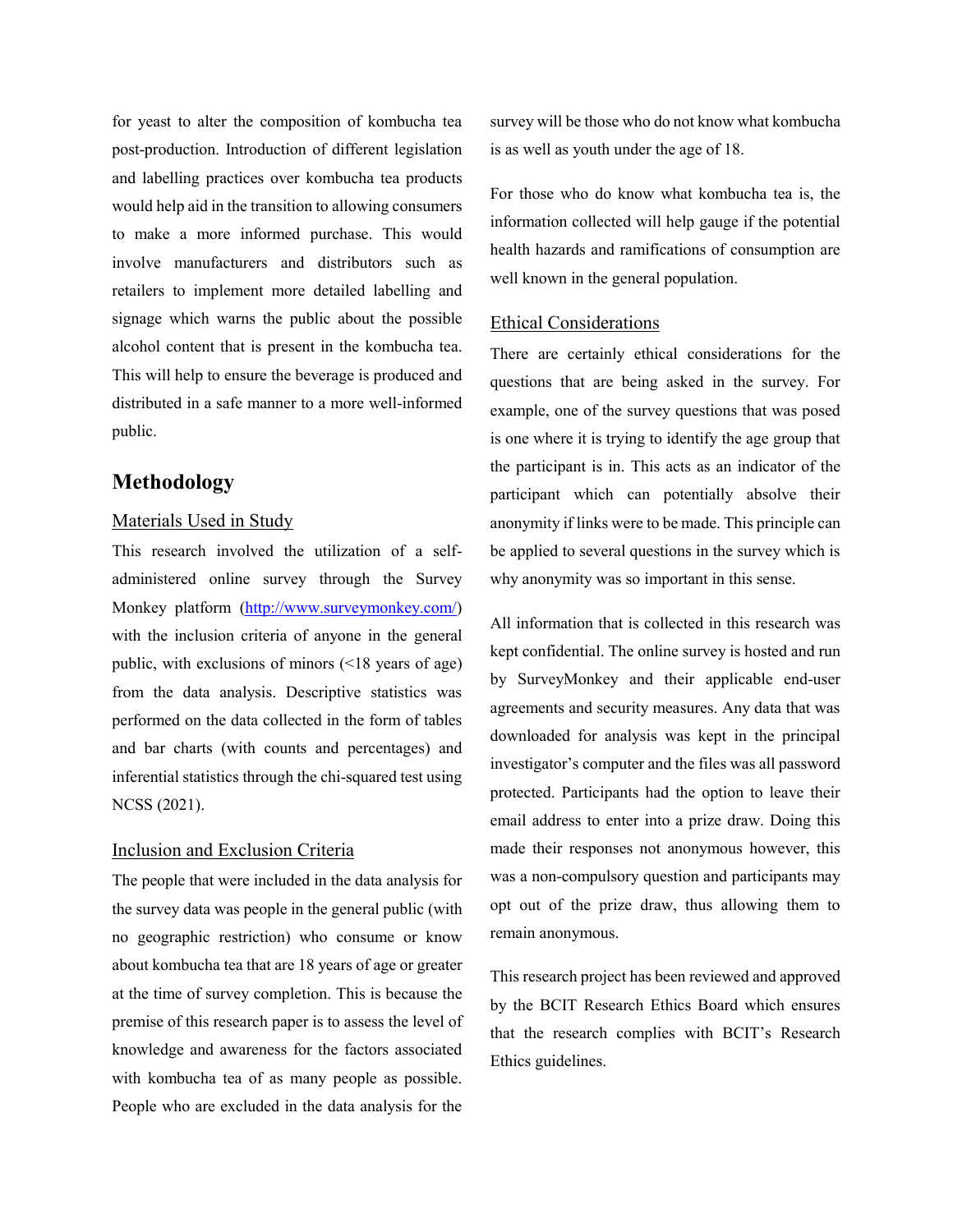for yeast to alter the composition of kombucha tea post-production. Introduction of different legislation and labelling practices over kombucha tea products would help aid in the transition to allowing consumers to make a more informed purchase. This would involve manufacturers and distributors such as retailers to implement more detailed labelling and signage which warns the public about the possible alcohol content that is present in the kombucha tea. This will help to ensure the beverage is produced and distributed in a safe manner to a more well-informed public.

# **Methodology**

#### Materials Used in Study

This research involved the utilization of a selfadministered online survey through the Survey Monkey platform [\(http://www.surveymonkey.com/\)](http://www.surveymonkey.com/) with the inclusion criteria of anyone in the general public, with exclusions of minors (<18 years of age) from the data analysis. Descriptive statistics was performed on the data collected in the form of tables and bar charts (with counts and percentages) and inferential statistics through the chi-squared test using NCSS (2021).

## Inclusion and Exclusion Criteria

The people that were included in the data analysis for the survey data was people in the general public (with no geographic restriction) who consume or know about kombucha tea that are 18 years of age or greater at the time of survey completion. This is because the premise of this research paper is to assess the level of knowledge and awareness for the factors associated with kombucha tea of as many people as possible. People who are excluded in the data analysis for the

survey will be those who do not know what kombucha is as well as youth under the age of 18.

For those who do know what kombucha tea is, the information collected will help gauge if the potential health hazards and ramifications of consumption are well known in the general population.

#### Ethical Considerations

There are certainly ethical considerations for the questions that are being asked in the survey. For example, one of the survey questions that was posed is one where it is trying to identify the age group that the participant is in. This acts as an indicator of the participant which can potentially absolve their anonymity if links were to be made. This principle can be applied to several questions in the survey which is why anonymity was so important in this sense.

All information that is collected in this research was kept confidential. The online survey is hosted and run by SurveyMonkey and their applicable end-user agreements and security measures. Any data that was downloaded for analysis was kept in the principal investigator's computer and the files was all password protected. Participants had the option to leave their email address to enter into a prize draw. Doing this made their responses not anonymous however, this was a non-compulsory question and participants may opt out of the prize draw, thus allowing them to remain anonymous.

This research project has been reviewed and approved by the BCIT Research Ethics Board which ensures that the research complies with BCIT's Research Ethics guidelines.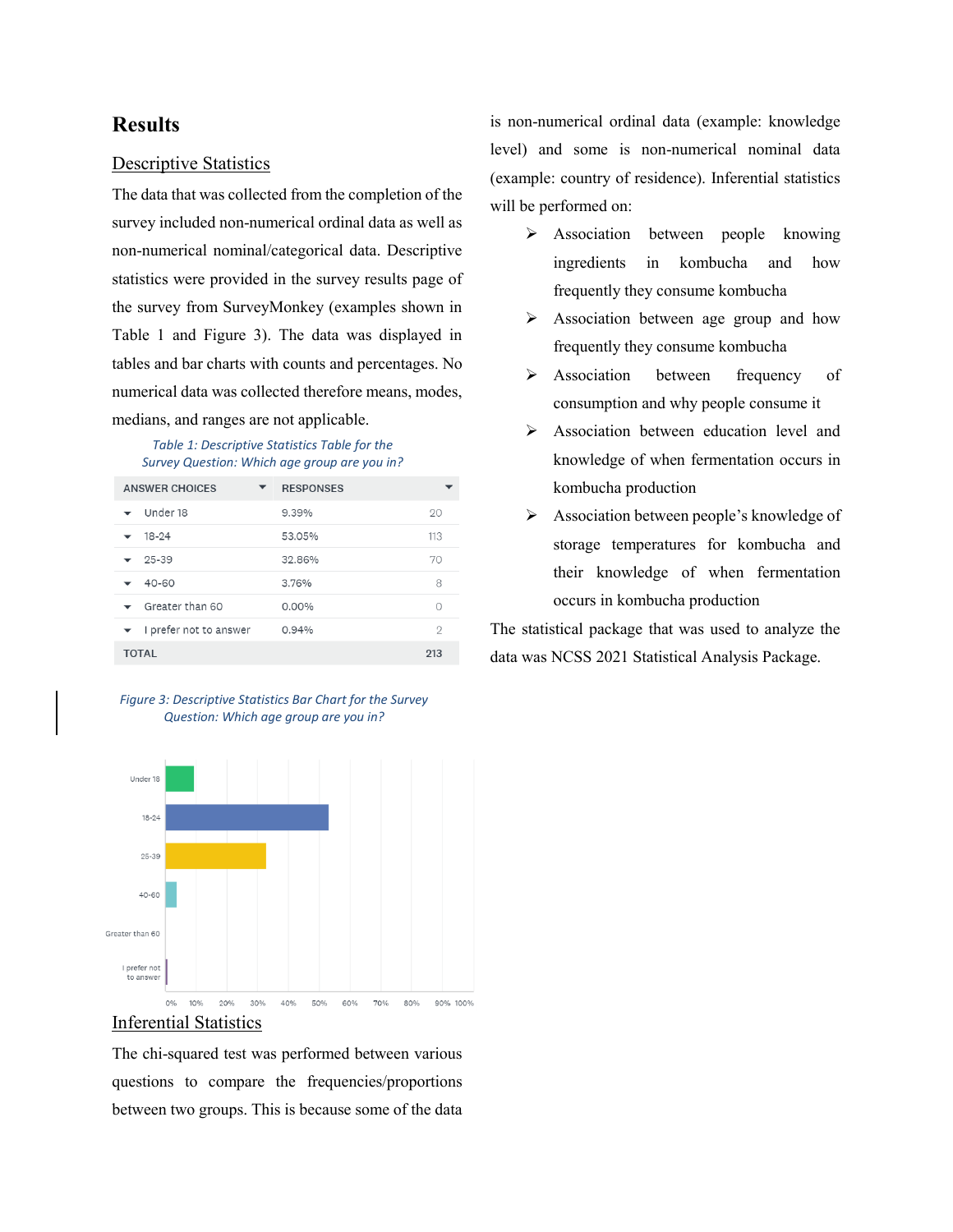# **Results**

## Descriptive Statistics

The data that was collected from the completion of the survey included non-numerical ordinal data as well as non-numerical nominal/categorical data. Descriptive statistics were provided in the survey results page of the survey from SurveyMonkey (examples shown in Table 1 and Figure 3). The data was displayed in tables and bar charts with counts and percentages. No numerical data was collected therefore means, modes, medians, and ranges are not applicable.

#### *Table 1: Descriptive Statistics Table for the Survey Question: Which age group are you in?*

| <b>ANSWER CHOICES</b>                | <b>RESPONSES</b> |     |
|--------------------------------------|------------------|-----|
| Under 18<br>$\overline{\phantom{0}}$ | 9.39%            | 20  |
| $18 - 24$                            | 53.05%           | 113 |
| $25 - 39$                            | 32.86%           | 70  |
| 40-60                                | 3.76%            | 8   |
| Greater than 60<br>$\checkmark$      | 0.00%            | ∩   |
| I prefer not to answer               | 0.94%            | 2   |
| <b>TOTAL</b>                         |                  | 213 |

*Figure 3: Descriptive Statistics Bar Chart for the Survey Question: Which age group are you in?*



## Inferential Statistics

The chi-squared test was performed between various questions to compare the frequencies/proportions between two groups. This is because some of the data is non-numerical ordinal data (example: knowledge level) and some is non-numerical nominal data (example: country of residence). Inferential statistics will be performed on:

- > Association between people knowing ingredients in kombucha and how frequently they consume kombucha
- Association between age group and how frequently they consume kombucha
- > Association between frequency of consumption and why people consume it
- Association between education level and knowledge of when fermentation occurs in kombucha production
- $\triangleright$  Association between people's knowledge of storage temperatures for kombucha and their knowledge of when fermentation occurs in kombucha production

The statistical package that was used to analyze the data was NCSS 2021 Statistical Analysis Package.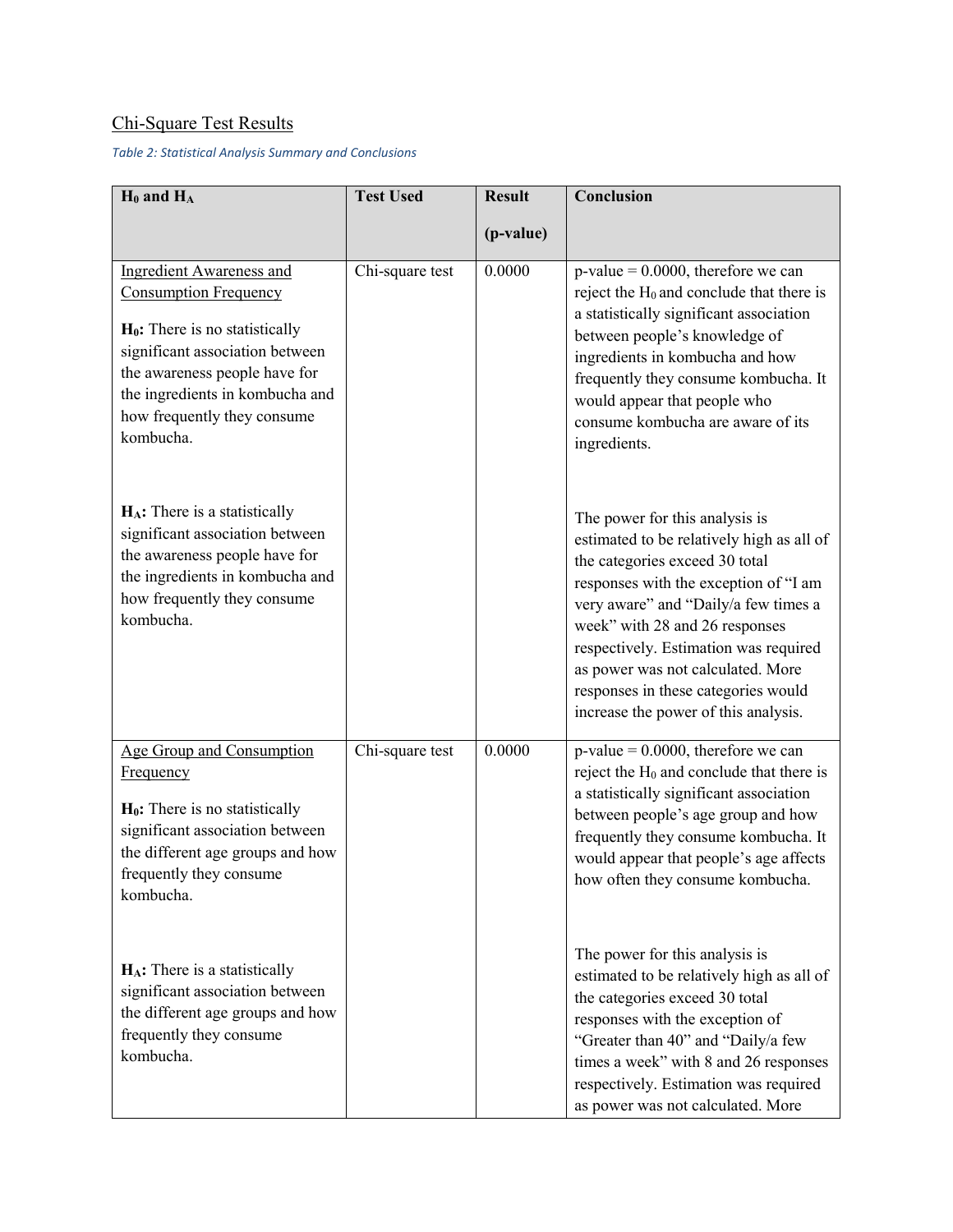# Chi-Square Test Results

*Table 2: Statistical Analysis Summary and Conclusions*

| $H_0$ and $H_A$                                                                                                                                                                                                                                         | <b>Test Used</b> | <b>Result</b> | Conclusion                                                                                                                                                                                                                                                                                                                                                                                    |
|---------------------------------------------------------------------------------------------------------------------------------------------------------------------------------------------------------------------------------------------------------|------------------|---------------|-----------------------------------------------------------------------------------------------------------------------------------------------------------------------------------------------------------------------------------------------------------------------------------------------------------------------------------------------------------------------------------------------|
|                                                                                                                                                                                                                                                         |                  | (p-value)     |                                                                                                                                                                                                                                                                                                                                                                                               |
| <b>Ingredient Awareness and</b><br><b>Consumption Frequency</b><br>$H_0$ : There is no statistically<br>significant association between<br>the awareness people have for<br>the ingredients in kombucha and<br>how frequently they consume<br>kombucha. | Chi-square test  | 0.0000        | $p$ -value = 0.0000, therefore we can<br>reject the $H_0$ and conclude that there is<br>a statistically significant association<br>between people's knowledge of<br>ingredients in kombucha and how<br>frequently they consume kombucha. It<br>would appear that people who<br>consume kombucha are aware of its<br>ingredients.                                                              |
| $H_A$ : There is a statistically<br>significant association between<br>the awareness people have for<br>the ingredients in kombucha and<br>how frequently they consume<br>kombucha.                                                                     |                  |               | The power for this analysis is<br>estimated to be relatively high as all of<br>the categories exceed 30 total<br>responses with the exception of "I am<br>very aware" and "Daily/a few times a<br>week" with 28 and 26 responses<br>respectively. Estimation was required<br>as power was not calculated. More<br>responses in these categories would<br>increase the power of this analysis. |
| <b>Age Group and Consumption</b><br><b>Frequency</b><br>$H_0$ : There is no statistically<br>significant association between<br>the different age groups and how<br>frequently they consume.<br>kombucha.                                               | Chi-square test  | 0.0000        | $p$ -value = 0.0000, therefore we can<br>reject the $H_0$ and conclude that there is<br>a statistically significant association<br>between people's age group and how<br>frequently they consume kombucha. It<br>would appear that people's age affects<br>how often they consume kombucha.                                                                                                   |
| $H_A$ : There is a statistically<br>significant association between<br>the different age groups and how<br>frequently they consume<br>kombucha.                                                                                                         |                  |               | The power for this analysis is<br>estimated to be relatively high as all of<br>the categories exceed 30 total<br>responses with the exception of<br>"Greater than 40" and "Daily/a few<br>times a week" with 8 and 26 responses<br>respectively. Estimation was required<br>as power was not calculated. More                                                                                 |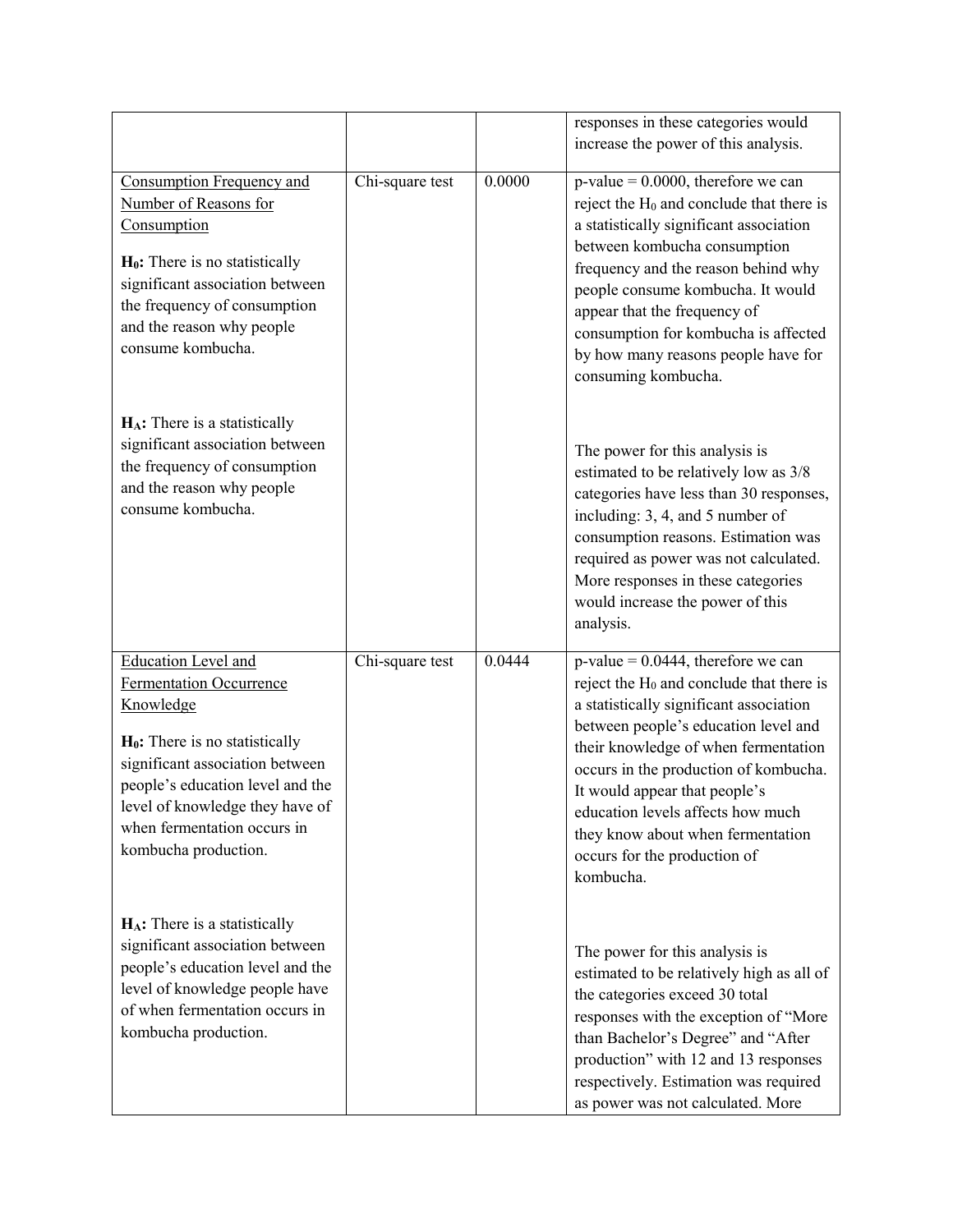|                                                                                                                                                                                                                                                                          |                                      |        | responses in these categories would<br>increase the power of this analysis.                                                                                                                                                                                                                                                                                                                                      |
|--------------------------------------------------------------------------------------------------------------------------------------------------------------------------------------------------------------------------------------------------------------------------|--------------------------------------|--------|------------------------------------------------------------------------------------------------------------------------------------------------------------------------------------------------------------------------------------------------------------------------------------------------------------------------------------------------------------------------------------------------------------------|
| Consumption Frequency and<br>Number of Reasons for<br>Consumption<br>$H_0$ : There is no statistically<br>significant association between<br>the frequency of consumption<br>and the reason why people<br>consume kombucha.                                              | Chi-square test                      | 0.0000 | $p-value = 0.0000$ , therefore we can<br>reject the $H_0$ and conclude that there is<br>a statistically significant association<br>between kombucha consumption<br>frequency and the reason behind why<br>people consume kombucha. It would<br>appear that the frequency of<br>consumption for kombucha is affected<br>by how many reasons people have for<br>consuming kombucha.                                |
| $H_A$ : There is a statistically<br>significant association between<br>the frequency of consumption<br>and the reason why people<br>consume kombucha.                                                                                                                    |                                      |        | The power for this analysis is<br>estimated to be relatively low as 3/8<br>categories have less than 30 responses,<br>including: 3, 4, and 5 number of<br>consumption reasons. Estimation was<br>required as power was not calculated.<br>More responses in these categories<br>would increase the power of this<br>analysis.                                                                                    |
| <b>Education Level and</b><br>Fermentation Occurrence<br>Knowledge<br>$H_0$ : There is no statistically<br>significant association between<br>people's education level and the<br>level of knowledge they have of<br>when fermentation occurs in<br>kombucha production. | $\overline{\text{Chi}}$ -square test | 0.0444 | $p$ -value = 0.0444, therefore we can<br>reject the $H_0$ and conclude that there is<br>a statistically significant association<br>between people's education level and<br>their knowledge of when fermentation<br>occurs in the production of kombucha.<br>It would appear that people's<br>education levels affects how much<br>they know about when fermentation<br>occurs for the production of<br>kombucha. |
| $H_A$ : There is a statistically<br>significant association between<br>people's education level and the<br>level of knowledge people have<br>of when fermentation occurs in<br>kombucha production.                                                                      |                                      |        | The power for this analysis is<br>estimated to be relatively high as all of<br>the categories exceed 30 total<br>responses with the exception of "More<br>than Bachelor's Degree" and "After<br>production" with 12 and 13 responses<br>respectively. Estimation was required<br>as power was not calculated. More                                                                                               |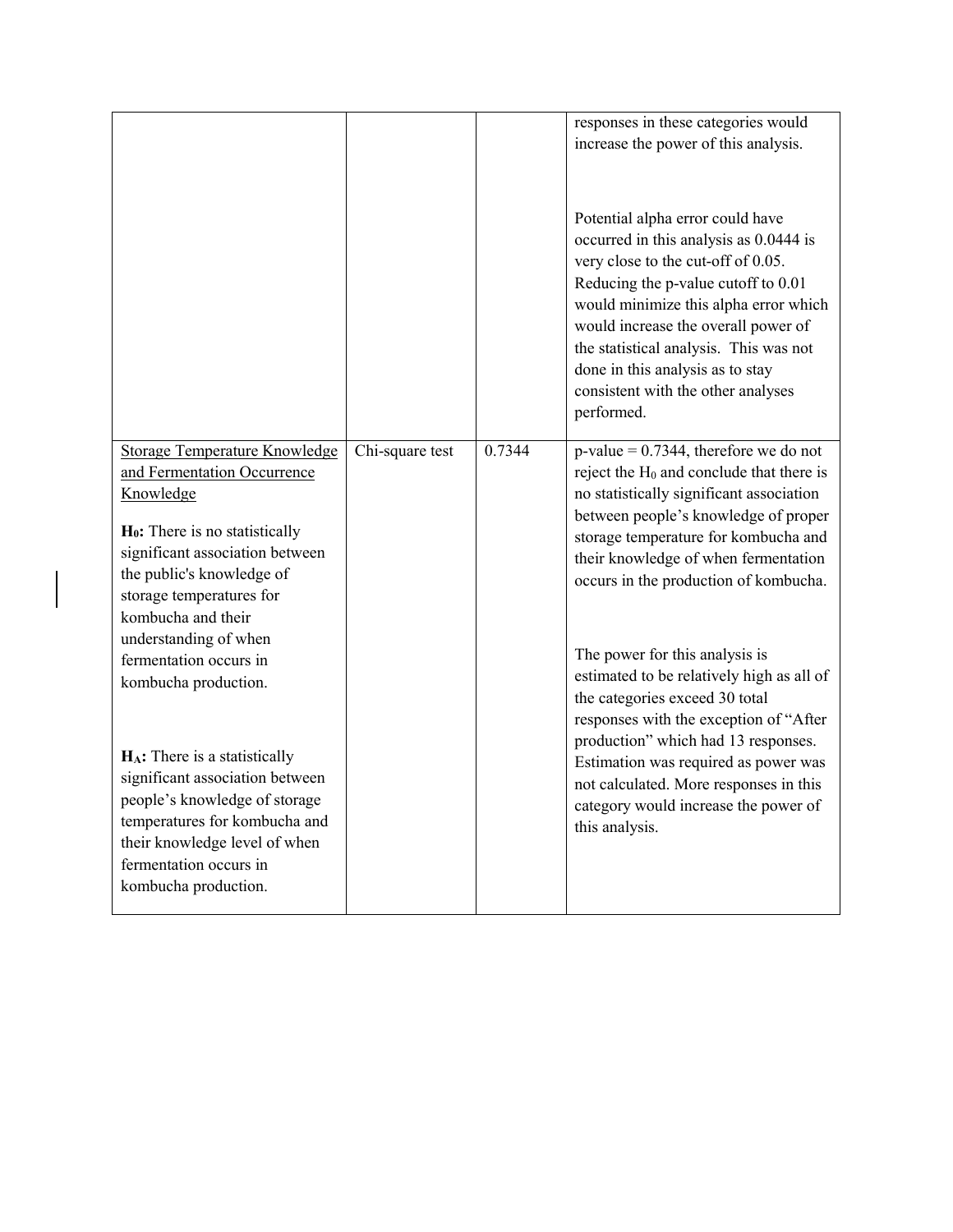|                                      |                 |        | responses in these categories would                                                                                                                                                                                                                                                                                                                                       |
|--------------------------------------|-----------------|--------|---------------------------------------------------------------------------------------------------------------------------------------------------------------------------------------------------------------------------------------------------------------------------------------------------------------------------------------------------------------------------|
|                                      |                 |        | increase the power of this analysis.                                                                                                                                                                                                                                                                                                                                      |
|                                      |                 |        |                                                                                                                                                                                                                                                                                                                                                                           |
|                                      |                 |        | Potential alpha error could have<br>occurred in this analysis as 0.0444 is<br>very close to the cut-off of 0.05.<br>Reducing the p-value cutoff to 0.01<br>would minimize this alpha error which<br>would increase the overall power of<br>the statistical analysis. This was not<br>done in this analysis as to stay<br>consistent with the other analyses<br>performed. |
| <b>Storage Temperature Knowledge</b> | Chi-square test | 0.7344 | $p-value = 0.7344$ , therefore we do not                                                                                                                                                                                                                                                                                                                                  |
| and Fermentation Occurrence          |                 |        | reject the $H_0$ and conclude that there is                                                                                                                                                                                                                                                                                                                               |
| Knowledge                            |                 |        | no statistically significant association                                                                                                                                                                                                                                                                                                                                  |
| $H_0$ : There is no statistically    |                 |        | between people's knowledge of proper                                                                                                                                                                                                                                                                                                                                      |
| significant association between      |                 |        | storage temperature for kombucha and                                                                                                                                                                                                                                                                                                                                      |
| the public's knowledge of            |                 |        | their knowledge of when fermentation                                                                                                                                                                                                                                                                                                                                      |
| storage temperatures for             |                 |        | occurs in the production of kombucha.                                                                                                                                                                                                                                                                                                                                     |
| kombucha and their                   |                 |        |                                                                                                                                                                                                                                                                                                                                                                           |
| understanding of when                |                 |        |                                                                                                                                                                                                                                                                                                                                                                           |
| fermentation occurs in               |                 |        | The power for this analysis is                                                                                                                                                                                                                                                                                                                                            |
| kombucha production.                 |                 |        | estimated to be relatively high as all of                                                                                                                                                                                                                                                                                                                                 |
|                                      |                 |        | the categories exceed 30 total                                                                                                                                                                                                                                                                                                                                            |
|                                      |                 |        | responses with the exception of "After                                                                                                                                                                                                                                                                                                                                    |
| $H_A$ : There is a statistically     |                 |        | production" which had 13 responses.                                                                                                                                                                                                                                                                                                                                       |
| significant association between      |                 |        | Estimation was required as power was                                                                                                                                                                                                                                                                                                                                      |
| people's knowledge of storage        |                 |        | not calculated. More responses in this<br>category would increase the power of                                                                                                                                                                                                                                                                                            |
| temperatures for kombucha and        |                 |        | this analysis.                                                                                                                                                                                                                                                                                                                                                            |
| their knowledge level of when        |                 |        |                                                                                                                                                                                                                                                                                                                                                                           |
| fermentation occurs in               |                 |        |                                                                                                                                                                                                                                                                                                                                                                           |
| kombucha production.                 |                 |        |                                                                                                                                                                                                                                                                                                                                                                           |
|                                      |                 |        |                                                                                                                                                                                                                                                                                                                                                                           |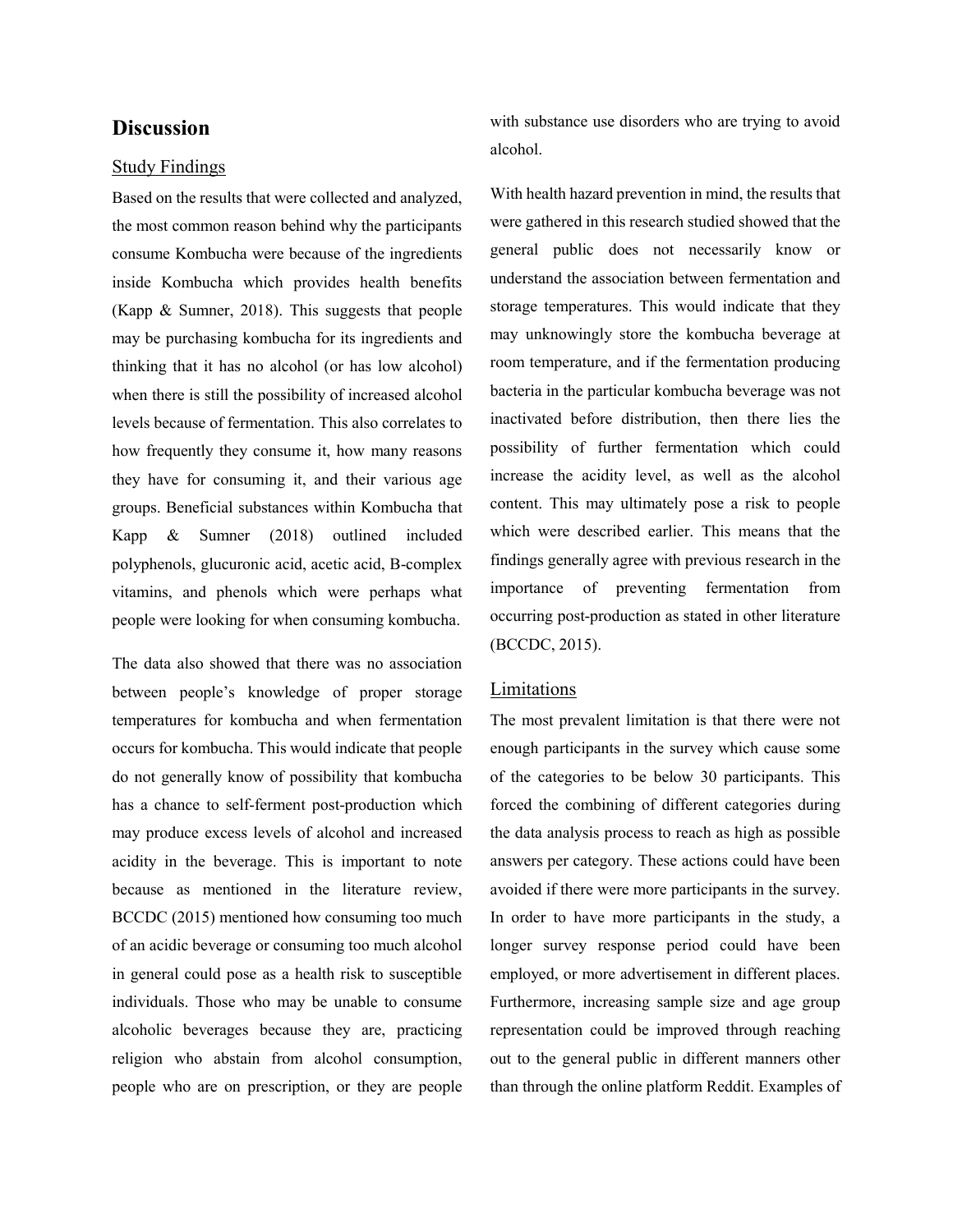# **Discussion**

#### Study Findings

Based on the results that were collected and analyzed, the most common reason behind why the participants consume Kombucha were because of the ingredients inside Kombucha which provides health benefits (Kapp & Sumner, 2018). This suggests that people may be purchasing kombucha for its ingredients and thinking that it has no alcohol (or has low alcohol) when there is still the possibility of increased alcohol levels because of fermentation. This also correlates to how frequently they consume it, how many reasons they have for consuming it, and their various age groups. Beneficial substances within Kombucha that Kapp & Sumner (2018) outlined included polyphenols, glucuronic acid, acetic acid, B-complex vitamins, and phenols which were perhaps what people were looking for when consuming kombucha.

The data also showed that there was no association between people's knowledge of proper storage temperatures for kombucha and when fermentation occurs for kombucha. This would indicate that people do not generally know of possibility that kombucha has a chance to self-ferment post-production which may produce excess levels of alcohol and increased acidity in the beverage. This is important to note because as mentioned in the literature review, BCCDC (2015) mentioned how consuming too much of an acidic beverage or consuming too much alcohol in general could pose as a health risk to susceptible individuals. Those who may be unable to consume alcoholic beverages because they are, practicing religion who abstain from alcohol consumption, people who are on prescription, or they are people with substance use disorders who are trying to avoid alcohol.

With health hazard prevention in mind, the results that were gathered in this research studied showed that the general public does not necessarily know or understand the association between fermentation and storage temperatures. This would indicate that they may unknowingly store the kombucha beverage at room temperature, and if the fermentation producing bacteria in the particular kombucha beverage was not inactivated before distribution, then there lies the possibility of further fermentation which could increase the acidity level, as well as the alcohol content. This may ultimately pose a risk to people which were described earlier. This means that the findings generally agree with previous research in the importance of preventing fermentation from occurring post-production as stated in other literature (BCCDC, 2015).

#### Limitations

The most prevalent limitation is that there were not enough participants in the survey which cause some of the categories to be below 30 participants. This forced the combining of different categories during the data analysis process to reach as high as possible answers per category. These actions could have been avoided if there were more participants in the survey. In order to have more participants in the study, a longer survey response period could have been employed, or more advertisement in different places. Furthermore, increasing sample size and age group representation could be improved through reaching out to the general public in different manners other than through the online platform Reddit. Examples of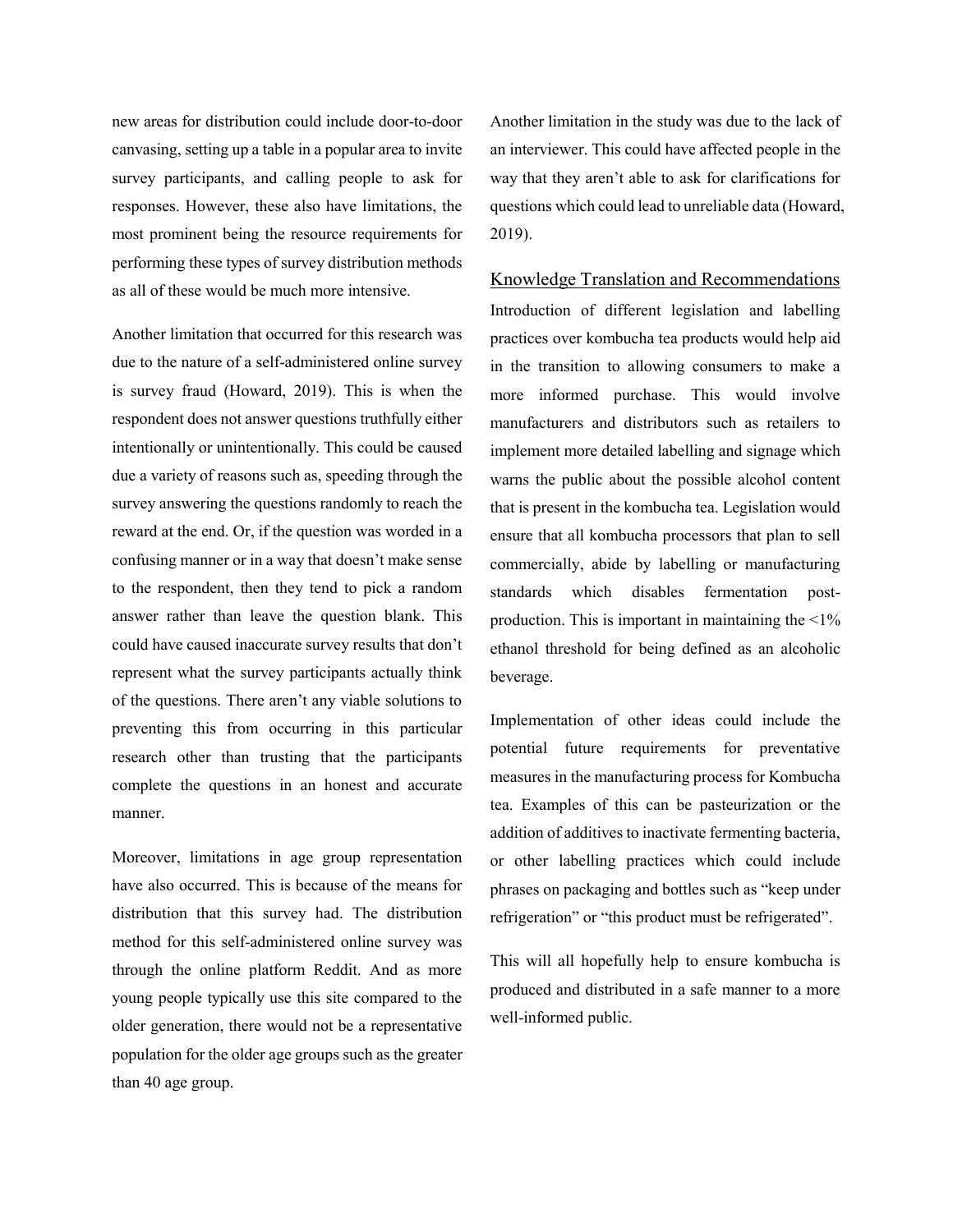new areas for distribution could include door-to-door canvasing, setting up a table in a popular area to invite survey participants, and calling people to ask for responses. However, these also have limitations, the most prominent being the resource requirements for performing these types of survey distribution methods as all of these would be much more intensive.

Another limitation that occurred for this research was due to the nature of a self-administered online survey is survey fraud (Howard, 2019). This is when the respondent does not answer questions truthfully either intentionally or unintentionally. This could be caused due a variety of reasons such as, speeding through the survey answering the questions randomly to reach the reward at the end. Or, if the question was worded in a confusing manner or in a way that doesn't make sense to the respondent, then they tend to pick a random answer rather than leave the question blank. This could have caused inaccurate survey results that don't represent what the survey participants actually think of the questions. There aren't any viable solutions to preventing this from occurring in this particular research other than trusting that the participants complete the questions in an honest and accurate manner.

Moreover, limitations in age group representation have also occurred. This is because of the means for distribution that this survey had. The distribution method for this self-administered online survey was through the online platform Reddit. And as more young people typically use this site compared to the older generation, there would not be a representative population for the older age groups such as the greater than 40 age group.

Another limitation in the study was due to the lack of an interviewer. This could have affected people in the way that they aren't able to ask for clarifications for questions which could lead to unreliable data (Howard, 2019).

Knowledge Translation and Recommendations Introduction of different legislation and labelling practices over kombucha tea products would help aid in the transition to allowing consumers to make a more informed purchase. This would involve manufacturers and distributors such as retailers to implement more detailed labelling and signage which warns the public about the possible alcohol content that is present in the kombucha tea. Legislation would ensure that all kombucha processors that plan to sell commercially, abide by labelling or manufacturing standards which disables fermentation postproduction. This is important in maintaining the  $\leq 1\%$ ethanol threshold for being defined as an alcoholic beverage.

Implementation of other ideas could include the potential future requirements for preventative measures in the manufacturing process for Kombucha tea. Examples of this can be pasteurization or the addition of additives to inactivate fermenting bacteria, or other labelling practices which could include phrases on packaging and bottles such as "keep under refrigeration" or "this product must be refrigerated".

This will all hopefully help to ensure kombucha is produced and distributed in a safe manner to a more well-informed public.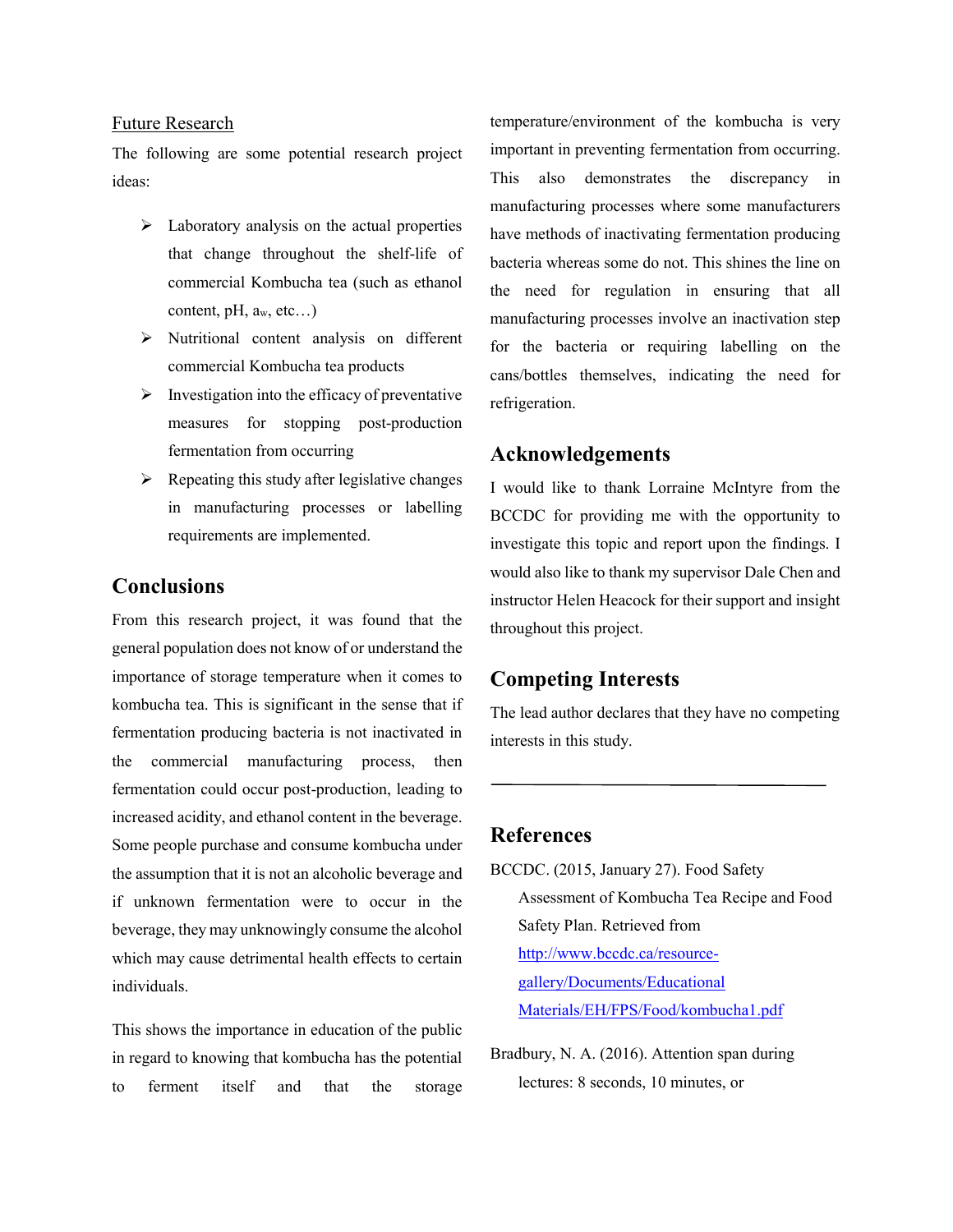#### Future Research

The following are some potential research project ideas:

- $\triangleright$  Laboratory analysis on the actual properties that change throughout the shelf-life of commercial Kombucha tea (such as ethanol content, pH,  $a_w$ , etc...)
- $\triangleright$  Nutritional content analysis on different commercial Kombucha tea products
- $\triangleright$  Investigation into the efficacy of preventative measures for stopping post-production fermentation from occurring
- $\triangleright$  Repeating this study after legislative changes in manufacturing processes or labelling requirements are implemented.

# **Conclusions**

From this research project, it was found that the general population does not know of or understand the importance of storage temperature when it comes to kombucha tea. This is significant in the sense that if fermentation producing bacteria is not inactivated in the commercial manufacturing process, then fermentation could occur post-production, leading to increased acidity, and ethanol content in the beverage. Some people purchase and consume kombucha under the assumption that it is not an alcoholic beverage and if unknown fermentation were to occur in the beverage, they may unknowingly consume the alcohol which may cause detrimental health effects to certain individuals.

This shows the importance in education of the public in regard to knowing that kombucha has the potential to ferment itself and that the storage temperature/environment of the kombucha is very important in preventing fermentation from occurring. This also demonstrates the discrepancy in manufacturing processes where some manufacturers have methods of inactivating fermentation producing bacteria whereas some do not. This shines the line on the need for regulation in ensuring that all manufacturing processes involve an inactivation step for the bacteria or requiring labelling on the cans/bottles themselves, indicating the need for refrigeration.

# **Acknowledgements**

I would like to thank Lorraine McIntyre from the BCCDC for providing me with the opportunity to investigate this topic and report upon the findings. I would also like to thank my supervisor Dale Chen and instructor Helen Heacock for their support and insight throughout this project.

# **Competing Interests**

The lead author declares that they have no competing interests in this study.

## **References**

- BCCDC. (2015, January 27). Food Safety Assessment of Kombucha Tea Recipe and Food Safety Plan. Retrieved from [http://www.bccdc.ca/resource](http://www.bccdc.ca/resource-gallery/Documents/Educational%20Materials/EH/FPS/Food/kombucha1.pdf)[gallery/Documents/Educational](http://www.bccdc.ca/resource-gallery/Documents/Educational%20Materials/EH/FPS/Food/kombucha1.pdf)  [Materials/EH/FPS/Food/kombucha1.pdf](http://www.bccdc.ca/resource-gallery/Documents/Educational%20Materials/EH/FPS/Food/kombucha1.pdf)
- Bradbury, N. A. (2016). Attention span during lectures: 8 seconds, 10 minutes, or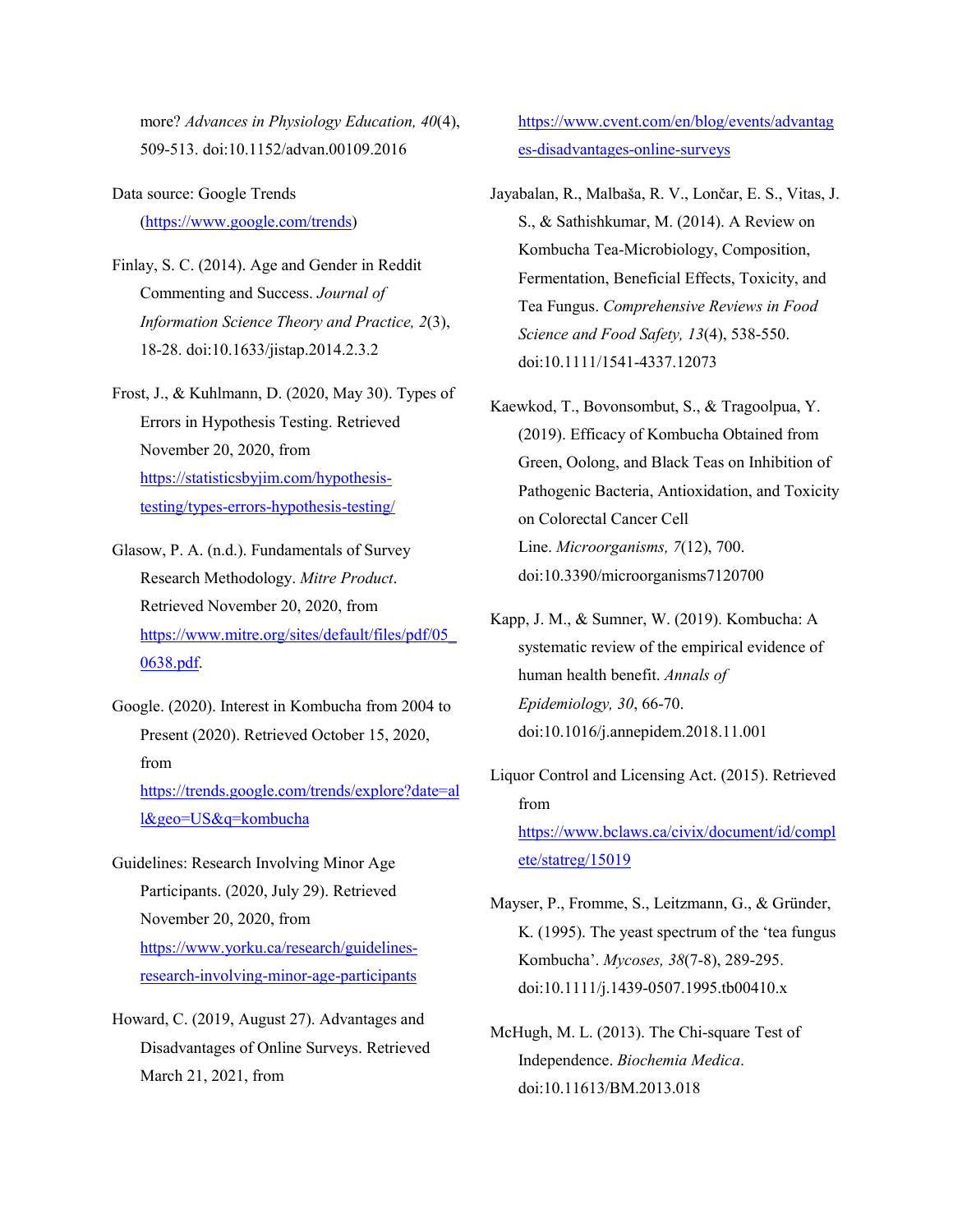more? *Advances in Physiology Education, 40*(4), 509-513. doi:10.1152/advan.00109.2016

Data source: Google Trends [\(https://www.google.com/trends\)](https://www.google.com/trends)

- Finlay, S. C. (2014). Age and Gender in Reddit Commenting and Success. *Journal of Information Science Theory and Practice, 2*(3), 18-28. doi:10.1633/jistap.2014.2.3.2
- Frost, J., & Kuhlmann, D. (2020, May 30). Types of Errors in Hypothesis Testing. Retrieved November 20, 2020, from [https://statisticsbyjim.com/hypothesis](https://statisticsbyjim.com/hypothesis-testing/types-errors-hypothesis-testing/)[testing/types-errors-hypothesis-testing/](https://statisticsbyjim.com/hypothesis-testing/types-errors-hypothesis-testing/)
- Glasow, P. A. (n.d.). Fundamentals of Survey Research Methodology. *Mitre Product*. Retrieved November 20, 2020, from [https://www.mitre.org/sites/default/files/pdf/05\\_](https://www.mitre.org/sites/default/files/pdf/05_0638.pdf) [0638.pdf.](https://www.mitre.org/sites/default/files/pdf/05_0638.pdf)
- Google. (2020). Interest in Kombucha from 2004 to Present (2020). Retrieved October 15, 2020, from

[https://trends.google.com/trends/explore?date=al](https://trends.google.com/trends/explore?date=all&geo=US&q=kombucha) [l&geo=US&q=kombucha](https://trends.google.com/trends/explore?date=all&geo=US&q=kombucha)

- Guidelines: Research Involving Minor Age Participants. (2020, July 29). Retrieved November 20, 2020, from [https://www.yorku.ca/research/guidelines](https://www.yorku.ca/research/guidelines-research-involving-minor-age-participants)[research-involving-minor-age-participants](https://www.yorku.ca/research/guidelines-research-involving-minor-age-participants)
- Howard, C. (2019, August 27). Advantages and Disadvantages of Online Surveys. Retrieved March 21, 2021, from

[https://www.cvent.com/en/blog/events/advantag](https://www.cvent.com/en/blog/events/advantages-disadvantages-online-surveys) [es-disadvantages-online-surveys](https://www.cvent.com/en/blog/events/advantages-disadvantages-online-surveys)

- Jayabalan, R., Malbaša, R. V., Lončar, E. S., Vitas, J. S., & Sathishkumar, M. (2014). A Review on Kombucha Tea-Microbiology, Composition, Fermentation, Beneficial Effects, Toxicity, and Tea Fungus. *Comprehensive Reviews in Food Science and Food Safety, 13*(4), 538-550. doi:10.1111/1541-4337.12073
- Kaewkod, T., Bovonsombut, S., & Tragoolpua, Y. (2019). Efficacy of Kombucha Obtained from Green, Oolong, and Black Teas on Inhibition of Pathogenic Bacteria, Antioxidation, and Toxicity on Colorectal Cancer Cell Line. *Microorganisms, 7*(12), 700. doi:10.3390/microorganisms7120700
- Kapp, J. M., & Sumner, W. (2019). Kombucha: A systematic review of the empirical evidence of human health benefit. *Annals of Epidemiology, 30*, 66-70. doi:10.1016/j.annepidem.2018.11.001
- Liquor Control and Licensing Act. (2015). Retrieved from [https://www.bclaws.ca/civix/document/id/compl](https://www.bclaws.ca/civix/document/id/complete/statreg/15019) [ete/statreg/15019](https://www.bclaws.ca/civix/document/id/complete/statreg/15019)
- Mayser, P., Fromme, S., Leitzmann, G., & Gründer, K. (1995). The yeast spectrum of the 'tea fungus Kombucha'. *Mycoses, 38*(7-8), 289-295. doi:10.1111/j.1439-0507.1995.tb00410.x
- McHugh, M. L. (2013). The Chi-square Test of Independence. *Biochemia Medica*. doi:10.11613/BM.2013.018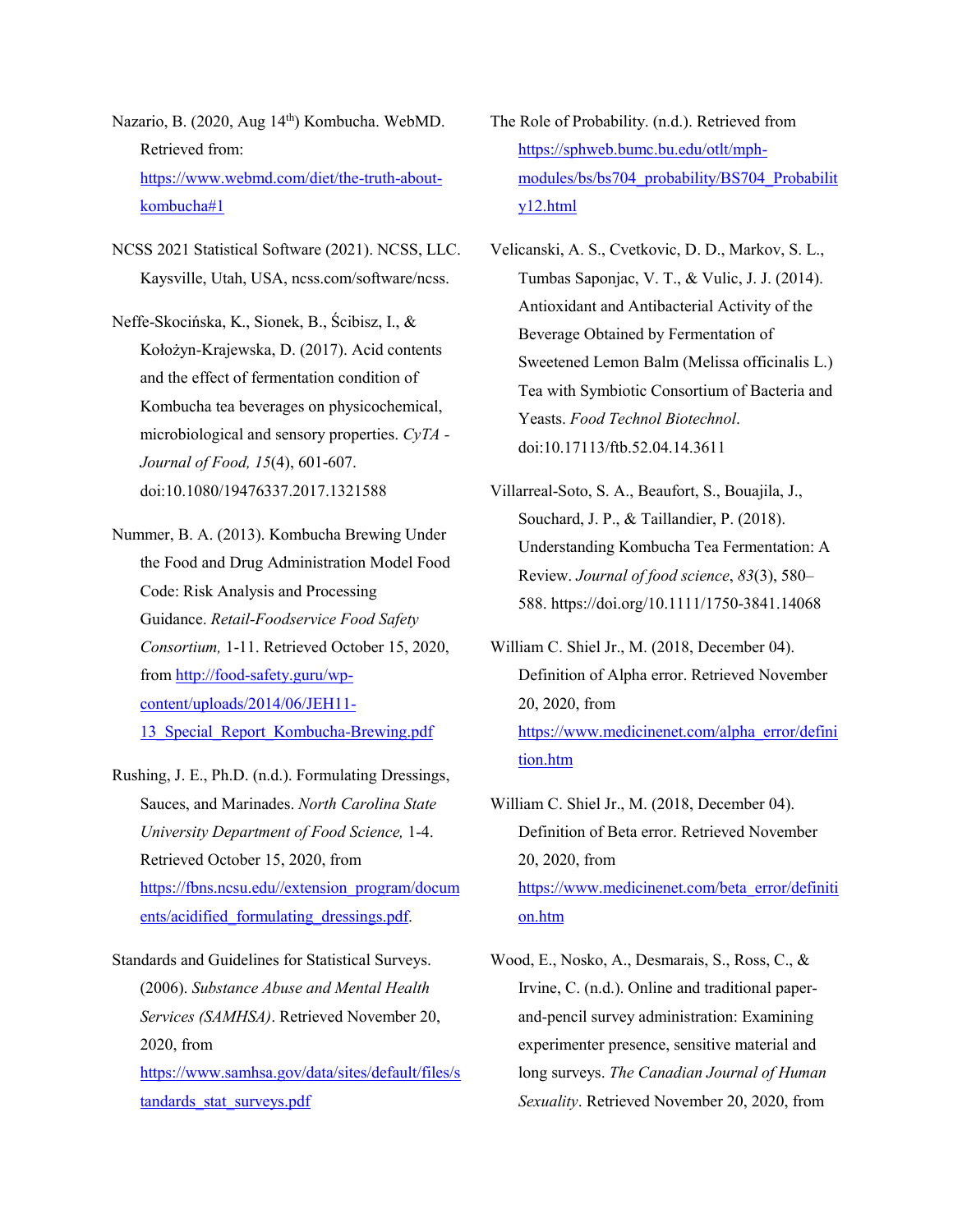Nazario, B. (2020, Aug 14<sup>th</sup>) Kombucha. WebMD. Retrieved from[:](https://www.webmd.com/diet/the-truth-about-kombucha#1) [https://www.webmd.com/diet/the-truth-about](https://www.webmd.com/diet/the-truth-about-kombucha#1)[kombucha#1](https://www.webmd.com/diet/the-truth-about-kombucha#1)

NCSS 2021 Statistical Software (2021). NCSS, LLC. Kaysville, Utah, USA, ncss.com/software/ncss.

Neffe-Skocińska, K., Sionek, B., Ścibisz, I., & Kołożyn-Krajewska, D. (2017). Acid contents and the effect of fermentation condition of Kombucha tea beverages on physicochemical, microbiological and sensory properties. *CyTA - Journal of Food, 15*(4), 601-607. doi:10.1080/19476337.2017.1321588

- Nummer, B. A. (2013). Kombucha Brewing Under the Food and Drug Administration Model Food Code: Risk Analysis and Processing Guidance. *Retail-Foodservice Food Safety Consortium,* 1-11. Retrieved October 15, 2020, from [http://food-safety.guru/wp](http://food-safety.guru/wp-content/uploads/2014/06/JEH11-13_Special_Report_Kombucha-Brewing.pdf)[content/uploads/2014/06/JEH11-](http://food-safety.guru/wp-content/uploads/2014/06/JEH11-13_Special_Report_Kombucha-Brewing.pdf) 13 Special Report Kombucha-Brewing.pdf
- Rushing, J. E., Ph.D. (n.d.). Formulating Dressings, Sauces, and Marinades. *North Carolina State University Department of Food Science,* 1-4. Retrieved October 15, 2020, from [https://fbns.ncsu.edu//extension\\_program/docum](https://fbns.ncsu.edu/extension_program/documents/acidified_formulating_dressings.pdf) [ents/acidified\\_formulating\\_dressings.pdf.](https://fbns.ncsu.edu/extension_program/documents/acidified_formulating_dressings.pdf)
- Standards and Guidelines for Statistical Surveys. (2006). *Substance Abuse and Mental Health Services (SAMHSA)*. Retrieved November 20, 2020, from

[https://www.samhsa.gov/data/sites/default/files/s](https://www.samhsa.gov/data/sites/default/files/standards_stat_surveys.pdf) [tandards\\_stat\\_surveys.pdf](https://www.samhsa.gov/data/sites/default/files/standards_stat_surveys.pdf)

- The Role of Probability. (n.d.). Retrieved from [https://sphweb.bumc.bu.edu/otlt/mph](https://sphweb.bumc.bu.edu/otlt/mph-modules/bs/bs704_probability/BS704_Probability12.html)[modules/bs/bs704\\_probability/BS704\\_Probabilit](https://sphweb.bumc.bu.edu/otlt/mph-modules/bs/bs704_probability/BS704_Probability12.html) [y12.html](https://sphweb.bumc.bu.edu/otlt/mph-modules/bs/bs704_probability/BS704_Probability12.html)
- Velicanski, A. S., Cvetkovic, D. D., Markov, S. L., Tumbas Saponjac, V. T., & Vulic, J. J. (2014). Antioxidant and Antibacterial Activity of the Beverage Obtained by Fermentation of Sweetened Lemon Balm (Melissa officinalis L.) Tea with Symbiotic Consortium of Bacteria and Yeasts. *Food Technol Biotechnol*. doi:10.17113/ftb.52.04.14.3611
- Villarreal-Soto, S. A., Beaufort, S., Bouajila, J., Souchard, J. P., & Taillandier, P. (2018). Understanding Kombucha Tea Fermentation: A Review. *Journal of food science*, *83*(3), 580– 588. https://doi.org/10.1111/1750-3841.14068
- William C. Shiel Jr., M. (2018, December 04). Definition of Alpha error. Retrieved November 20, 2020, from [https://www.medicinenet.com/alpha\\_error/defini](https://www.medicinenet.com/alpha_error/definition.htm) [tion.htm](https://www.medicinenet.com/alpha_error/definition.htm)
- William C. Shiel Jr., M. (2018, December 04). Definition of Beta error. Retrieved November 20, 2020, from [https://www.medicinenet.com/beta\\_error/definiti](https://www.medicinenet.com/beta_error/definition.htm) [on.htm](https://www.medicinenet.com/beta_error/definition.htm)
- Wood, E., Nosko, A., Desmarais, S., Ross, C., & Irvine, C. (n.d.). Online and traditional paperand-pencil survey administration: Examining experimenter presence, sensitive material and long surveys. *The Canadian Journal of Human Sexuality*. Retrieved November 20, 2020, from